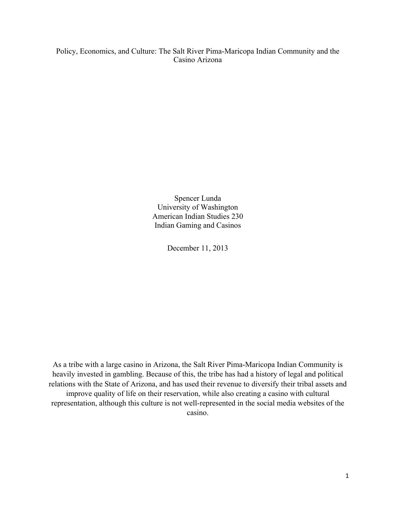Policy, Economics, and Culture: The Salt River Pima-Maricopa Indian Community and the Casino Arizona

> Spencer Lunda University of Washington American Indian Studies 230 Indian Gaming and Casinos

> > December 11, 2013

As a tribe with a large casino in Arizona, the Salt River Pima-Maricopa Indian Community is heavily invested in gambling. Because of this, the tribe has had a history of legal and political relations with the State of Arizona, and has used their revenue to diversify their tribal assets and improve quality of life on their reservation, while also creating a casino with cultural representation, although this culture is not well-represented in the social media websites of the casino.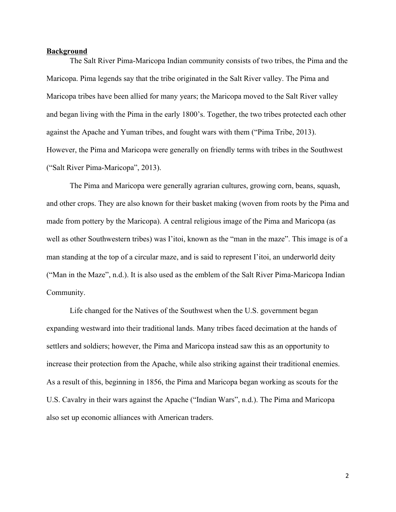## **Background**

The Salt River Pima-Maricopa Indian community consists of two tribes, the Pima and the Maricopa. Pima legends say that the tribe originated in the Salt River valley. The Pima and Maricopa tribes have been allied for many years; the Maricopa moved to the Salt River valley and began living with the Pima in the early 1800's. Together, the two tribes protected each other against the Apache and Yuman tribes, and fought wars with them ("Pima Tribe, 2013). However, the Pima and Maricopa were generally on friendly terms with tribes in the Southwest ("Salt River Pima-Maricopa", 2013).

The Pima and Maricopa were generally agrarian cultures, growing corn, beans, squash, and other crops. They are also known for their basket making (woven from roots by the Pima and made from pottery by the Maricopa). A central religious image of the Pima and Maricopa (as well as other Southwestern tribes) was I'itoi, known as the "man in the maze". This image is of a man standing at the top of a circular maze, and is said to represent I'itoi, an underworld deity ("Man in the Maze", n.d.). It is also used as the emblem of the Salt River Pima-Maricopa Indian Community.

Life changed for the Natives of the Southwest when the U.S. government began expanding westward into their traditional lands. Many tribes faced decimation at the hands of settlers and soldiers; however, the Pima and Maricopa instead saw this as an opportunity to increase their protection from the Apache, while also striking against their traditional enemies. As a result of this, beginning in 1856, the Pima and Maricopa began working as scouts for the U.S. Cavalry in their wars against the Apache ("Indian Wars", n.d.). The Pima and Maricopa also set up economic alliances with American traders.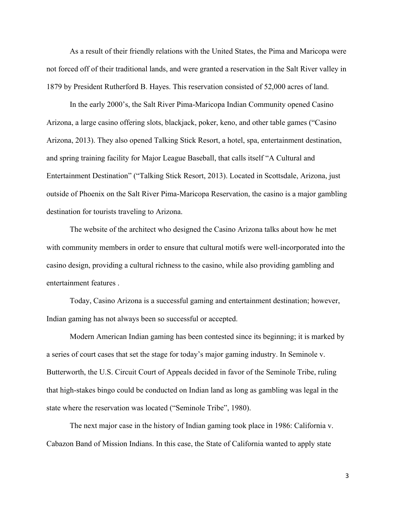As a result of their friendly relations with the United States, the Pima and Maricopa were not forced off of their traditional lands, and were granted a reservation in the Salt River valley in 1879 by President Rutherford B. Hayes. This reservation consisted of 52,000 acres of land.

In the early 2000's, the Salt River Pima-Maricopa Indian Community opened Casino Arizona, a large casino offering slots, blackjack, poker, keno, and other table games ("Casino Arizona, 2013). They also opened Talking Stick Resort, a hotel, spa, entertainment destination, and spring training facility for Major League Baseball, that calls itself "A Cultural and Entertainment Destination" ("Talking Stick Resort, 2013). Located in Scottsdale, Arizona, just outside of Phoenix on the Salt River Pima-Maricopa Reservation, the casino is a major gambling destination for tourists traveling to Arizona.

The website of the architect who designed the Casino Arizona talks about how he met with community members in order to ensure that cultural motifs were well-incorporated into the casino design, providing a cultural richness to the casino, while also providing gambling and entertainment features .

Today, Casino Arizona is a successful gaming and entertainment destination; however, Indian gaming has not always been so successful or accepted.

Modern American Indian gaming has been contested since its beginning; it is marked by a series of court cases that set the stage for today's major gaming industry. In Seminole v. Butterworth, the U.S. Circuit Court of Appeals decided in favor of the Seminole Tribe, ruling that high-stakes bingo could be conducted on Indian land as long as gambling was legal in the state where the reservation was located ("Seminole Tribe", 1980).

The next major case in the history of Indian gaming took place in 1986: California v. Cabazon Band of Mission Indians. In this case, the State of California wanted to apply state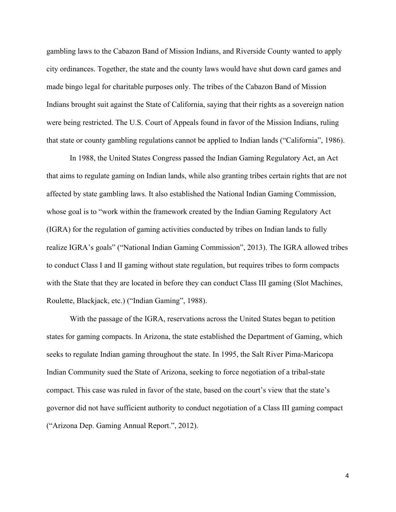gambling laws to the Cabazon Band of Mission Indians, and Riverside County wanted to apply city ordinances. Together, the state and the county laws would have shut down card games and made bingo legal for charitable purposes only. The tribes of the Cabazon Band of Mission Indians brought suit against the State of California, saying that their rights as a sovereign nation were being restricted. The U.S. Court of Appeals found in favor of the Mission Indians, ruling that state or county gambling regulations cannot be applied to Indian lands ("California", 1986).

In 1988, the United States Congress passed the Indian Gaming Regulatory Act, an Act that aims to regulate gaming on Indian lands, while also granting tribes certain rights that are not affected by state gambling laws. It also established the National Indian Gaming Commission, whose goal is to "work within the framework created by the Indian Gaming Regulatory Act (IGRA) for the regulation of gaming activities conducted by tribes on Indian lands to fully realize IGRA's goals" ("National Indian Gaming Commission", 2013). The IGRA allowed tribes to conduct Class I and II gaming without state regulation, but requires tribes to form compacts with the State that they are located in before they can conduct Class III gaming (Slot Machines, Roulette, Blackjack, etc.) ("Indian Gaming", 1988).

With the passage of the IGRA, reservations across the United States began to petition states for gaming compacts. In Arizona, the state established the Department of Gaming, which seeks to regulate Indian gaming throughout the state. In 1995, the Salt River Pima-Maricopa Indian Community sued the State of Arizona, seeking to force negotiation of a tribal-state compact. This case was ruled in favor of the state, based on the court's view that the state's governor did not have sufficient authority to conduct negotiation of a Class III gaming compact ("Arizona Dep. Gaming Annual Report.", 2012).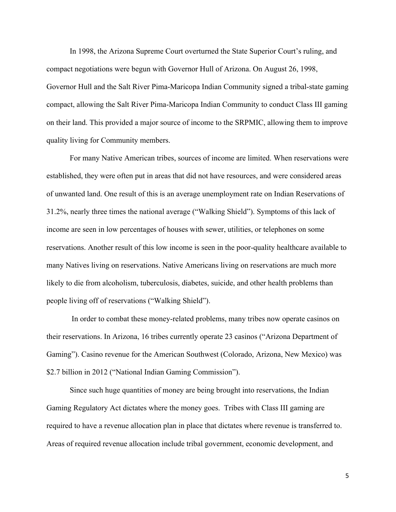In 1998, the Arizona Supreme Court overturned the State Superior Court's ruling, and compact negotiations were begun with Governor Hull of Arizona. On August 26, 1998, Governor Hull and the Salt River Pima-Maricopa Indian Community signed a tribal-state gaming compact, allowing the Salt River Pima-Maricopa Indian Community to conduct Class III gaming on their land. This provided a major source of income to the SRPMIC, allowing them to improve quality living for Community members.

For many Native American tribes, sources of income are limited. When reservations were established, they were often put in areas that did not have resources, and were considered areas of unwanted land. One result of this is an average unemployment rate on Indian Reservations of 31.2%, nearly three times the national average ("Walking Shield"). Symptoms of this lack of income are seen in low percentages of houses with sewer, utilities, or telephones on some reservations. Another result of this low income is seen in the poor-quality healthcare available to many Natives living on reservations. Native Americans living on reservations are much more likely to die from alcoholism, tuberculosis, diabetes, suicide, and other health problems than people living off of reservations ("Walking Shield").

In order to combat these money-related problems, many tribes now operate casinos on their reservations. In Arizona, 16 tribes currently operate 23 casinos ("Arizona Department of Gaming"). Casino revenue for the American Southwest (Colorado, Arizona, New Mexico) was \$2.7 billion in 2012 ("National Indian Gaming Commission").

Since such huge quantities of money are being brought into reservations, the Indian Gaming Regulatory Act dictates where the money goes. Tribes with Class III gaming are required to have a revenue allocation plan in place that dictates where revenue is transferred to. Areas of required revenue allocation include tribal government, economic development, and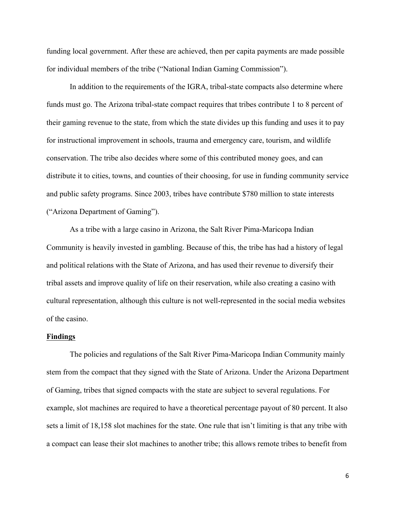funding local government. After these are achieved, then per capita payments are made possible for individual members of the tribe ("National Indian Gaming Commission").

In addition to the requirements of the IGRA, tribal-state compacts also determine where funds must go. The Arizona tribal-state compact requires that tribes contribute 1 to 8 percent of their gaming revenue to the state, from which the state divides up this funding and uses it to pay for instructional improvement in schools, trauma and emergency care, tourism, and wildlife conservation. The tribe also decides where some of this contributed money goes, and can distribute it to cities, towns, and counties of their choosing, for use in funding community service and public safety programs. Since 2003, tribes have contribute \$780 million to state interests ("Arizona Department of Gaming").

As a tribe with a large casino in Arizona, the Salt River Pima-Maricopa Indian Community is heavily invested in gambling. Because of this, the tribe has had a history of legal and political relations with the State of Arizona, and has used their revenue to diversify their tribal assets and improve quality of life on their reservation, while also creating a casino with cultural representation, although this culture is not well-represented in the social media websites of the casino.

## **Findings**

The policies and regulations of the Salt River Pima-Maricopa Indian Community mainly stem from the compact that they signed with the State of Arizona. Under the Arizona Department of Gaming, tribes that signed compacts with the state are subject to several regulations. For example, slot machines are required to have a theoretical percentage payout of 80 percent. It also sets a limit of 18,158 slot machines for the state. One rule that isn't limiting is that any tribe with a compact can lease their slot machines to another tribe; this allows remote tribes to benefit from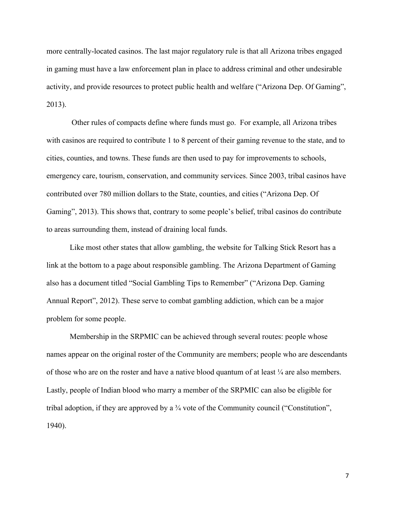more centrally-located casinos. The last major regulatory rule is that all Arizona tribes engaged in gaming must have a law enforcement plan in place to address criminal and other undesirable activity, and provide resources to protect public health and welfare ("Arizona Dep. Of Gaming", 2013).

Other rules of compacts define where funds must go. For example, all Arizona tribes with casinos are required to contribute 1 to 8 percent of their gaming revenue to the state, and to cities, counties, and towns. These funds are then used to pay for improvements to schools, emergency care, tourism, conservation, and community services. Since 2003, tribal casinos have contributed over 780 million dollars to the State, counties, and cities ("Arizona Dep. Of Gaming", 2013). This shows that, contrary to some people's belief, tribal casinos do contribute to areas surrounding them, instead of draining local funds.

Like most other states that allow gambling, the website for Talking Stick Resort has a link at the bottom to a page about responsible gambling. The Arizona Department of Gaming also has a document titled "Social Gambling Tips to Remember" ("Arizona Dep. Gaming Annual Report", 2012). These serve to combat gambling addiction, which can be a major problem for some people.

Membership in the SRPMIC can be achieved through several routes: people whose names appear on the original roster of the Community are members; people who are descendants of those who are on the roster and have a native blood quantum of at least  $\frac{1}{4}$  are also members. Lastly, people of Indian blood who marry a member of the SRPMIC can also be eligible for tribal adoption, if they are approved by a ¾ vote of the Community council ("Constitution", 1940).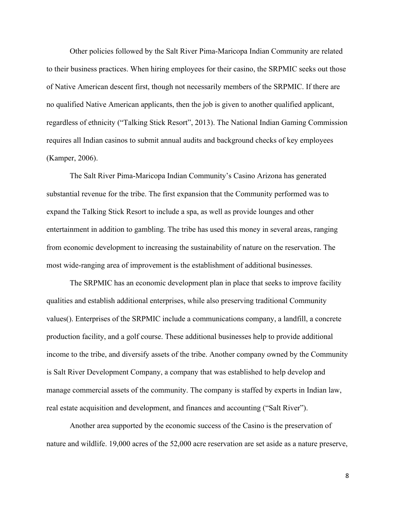Other policies followed by the Salt River Pima-Maricopa Indian Community are related to their business practices. When hiring employees for their casino, the SRPMIC seeks out those of Native American descent first, though not necessarily members of the SRPMIC. If there are no qualified Native American applicants, then the job is given to another qualified applicant, regardless of ethnicity ("Talking Stick Resort", 2013). The National Indian Gaming Commission requires all Indian casinos to submit annual audits and background checks of key employees (Kamper, 2006).

The Salt River Pima-Maricopa Indian Community's Casino Arizona has generated substantial revenue for the tribe. The first expansion that the Community performed was to expand the Talking Stick Resort to include a spa, as well as provide lounges and other entertainment in addition to gambling. The tribe has used this money in several areas, ranging from economic development to increasing the sustainability of nature on the reservation. The most wide-ranging area of improvement is the establishment of additional businesses.

The SRPMIC has an economic development plan in place that seeks to improve facility qualities and establish additional enterprises, while also preserving traditional Community values(). Enterprises of the SRPMIC include a communications company, a landfill, a concrete production facility, and a golf course. These additional businesses help to provide additional income to the tribe, and diversify assets of the tribe. Another company owned by the Community is Salt River Development Company, a company that was established to help develop and manage commercial assets of the community. The company is staffed by experts in Indian law, real estate acquisition and development, and finances and accounting ("Salt River").

Another area supported by the economic success of the Casino is the preservation of nature and wildlife. 19,000 acres of the 52,000 acre reservation are set aside as a nature preserve,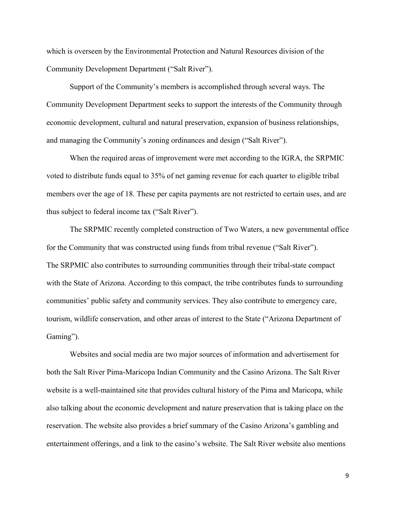which is overseen by the Environmental Protection and Natural Resources division of the Community Development Department ("Salt River").

Support of the Community's members is accomplished through several ways. The Community Development Department seeks to support the interests of the Community through economic development, cultural and natural preservation, expansion of business relationships, and managing the Community's zoning ordinances and design ("Salt River").

When the required areas of improvement were met according to the IGRA, the SRPMIC voted to distribute funds equal to 35% of net gaming revenue for each quarter to eligible tribal members over the age of 18. These per capita payments are not restricted to certain uses, and are thus subject to federal income tax ("Salt River").

The SRPMIC recently completed construction of Two Waters, a new governmental office for the Community that was constructed using funds from tribal revenue ("Salt River"). The SRPMIC also contributes to surrounding communities through their tribal-state compact with the State of Arizona. According to this compact, the tribe contributes funds to surrounding communities' public safety and community services. They also contribute to emergency care, tourism, wildlife conservation, and other areas of interest to the State ("Arizona Department of Gaming").

Websites and social media are two major sources of information and advertisement for both the Salt River Pima-Maricopa Indian Community and the Casino Arizona. The Salt River website is a well-maintained site that provides cultural history of the Pima and Maricopa, while also talking about the economic development and nature preservation that is taking place on the reservation. The website also provides a brief summary of the Casino Arizona's gambling and entertainment offerings, and a link to the casino's website. The Salt River website also mentions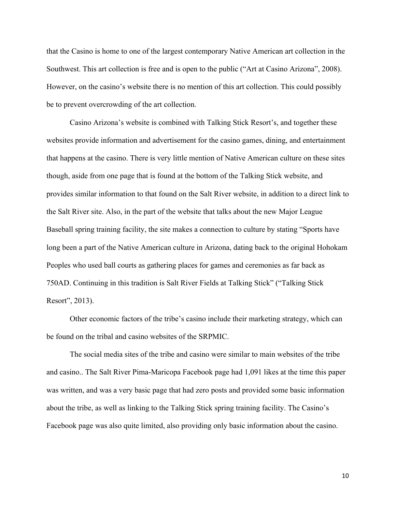that the Casino is home to one of the largest contemporary Native American art collection in the Southwest. This art collection is free and is open to the public ("Art at Casino Arizona", 2008). However, on the casino's website there is no mention of this art collection. This could possibly be to prevent overcrowding of the art collection.

Casino Arizona's website is combined with Talking Stick Resort's, and together these websites provide information and advertisement for the casino games, dining, and entertainment that happens at the casino. There is very little mention of Native American culture on these sites though, aside from one page that is found at the bottom of the Talking Stick website, and provides similar information to that found on the Salt River website, in addition to a direct link to the Salt River site. Also, in the part of the website that talks about the new Major League Baseball spring training facility, the site makes a connection to culture by stating "Sports have long been a part of the Native American culture in Arizona, dating back to the original Hohokam Peoples who used ball courts as gathering places for games and ceremonies as far back as 750AD. Continuing in this tradition is Salt River Fields at Talking Stick" ("Talking Stick Resort", 2013).

Other economic factors of the tribe's casino include their marketing strategy, which can be found on the tribal and casino websites of the SRPMIC.

The social media sites of the tribe and casino were similar to main websites of the tribe and casino.. The Salt River Pima-Maricopa Facebook page had 1,091 likes at the time this paper was written, and was a very basic page that had zero posts and provided some basic information about the tribe, as well as linking to the Talking Stick spring training facility. The Casino's Facebook page was also quite limited, also providing only basic information about the casino.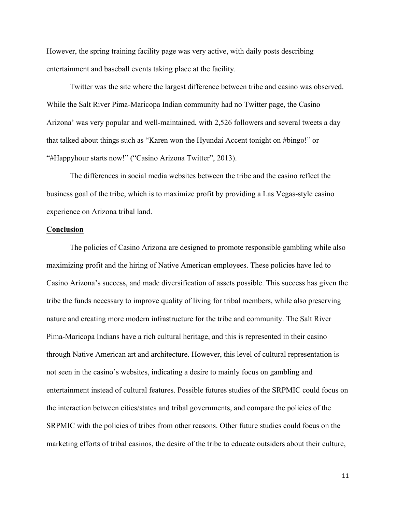However, the spring training facility page was very active, with daily posts describing entertainment and baseball events taking place at the facility.

Twitter was the site where the largest difference between tribe and casino was observed. While the Salt River Pima-Maricopa Indian community had no Twitter page, the Casino Arizona' was very popular and well-maintained, with 2,526 followers and several tweets a day that talked about things such as "Karen won the Hyundai Accent tonight on #bingo!" or "#Happyhour starts now!" ("Casino Arizona Twitter", 2013).

The differences in social media websites between the tribe and the casino reflect the business goal of the tribe, which is to maximize profit by providing a Las Vegas-style casino experience on Arizona tribal land.

## **Conclusion**

The policies of Casino Arizona are designed to promote responsible gambling while also maximizing profit and the hiring of Native American employees. These policies have led to Casino Arizona's success, and made diversification of assets possible. This success has given the tribe the funds necessary to improve quality of living for tribal members, while also preserving nature and creating more modern infrastructure for the tribe and community. The Salt River Pima-Maricopa Indians have a rich cultural heritage, and this is represented in their casino through Native American art and architecture. However, this level of cultural representation is not seen in the casino's websites, indicating a desire to mainly focus on gambling and entertainment instead of cultural features. Possible futures studies of the SRPMIC could focus on the interaction between cities/states and tribal governments, and compare the policies of the SRPMIC with the policies of tribes from other reasons. Other future studies could focus on the marketing efforts of tribal casinos, the desire of the tribe to educate outsiders about their culture,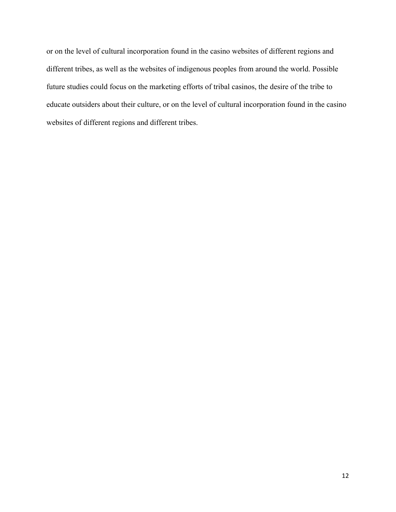or on the level of cultural incorporation found in the casino websites of different regions and different tribes, as well as the websites of indigenous peoples from around the world. Possible future studies could focus on the marketing efforts of tribal casinos, the desire of the tribe to educate outsiders about their culture, or on the level of cultural incorporation found in the casino websites of different regions and different tribes.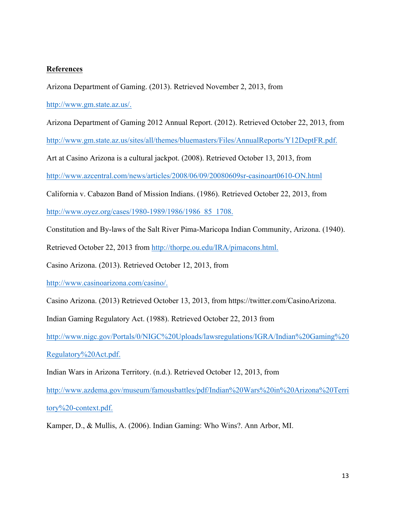## **References**

Arizona Department of Gaming. (2013). Retrieved November 2, 2013, from

http://www.gm.state.az.us/.

Arizona Department of Gaming 2012 Annual Report. (2012). Retrieved October 22, 2013, from

http://www.gm.state.az.us/sites/all/themes/bluemasters/Files/AnnualReports/Y12DeptFR.pdf.

Art at Casino Arizona is a cultural jackpot. (2008). Retrieved October 13, 2013, from

http://www.azcentral.com/news/articles/2008/06/09/20080609sr-casinoart0610-ON.html

California v. Cabazon Band of Mission Indians. (1986). Retrieved October 22, 2013, from

http://www.oyez.org/cases/1980-1989/1986/1986\_85\_1708.

Constitution and By-laws of the Salt River Pima-Maricopa Indian Community, Arizona. (1940).

Retrieved October 22, 2013 from http://thorpe.ou.edu/IRA/pimacons.html.

Casino Arizona. (2013). Retrieved October 12, 2013, from

http://www.casinoarizona.com/casino/.

Casino Arizona. (2013) Retrieved October 13, 2013, from https://twitter.com/CasinoArizona.

Indian Gaming Regulatory Act. (1988). Retrieved October 22, 2013 from

http://www.nigc.gov/Portals/0/NIGC%20Uploads/lawsregulations/IGRA/Indian%20Gaming%20

Regulatory%20Act.pdf.

Indian Wars in Arizona Territory. (n.d.). Retrieved October 12, 2013, from

http://www.azdema.gov/museum/famousbattles/pdf/Indian%20Wars%20in%20Arizona%20Terri

tory%20-context.pdf.

Kamper, D., & Mullis, A. (2006). Indian Gaming: Who Wins?. Ann Arbor, MI.